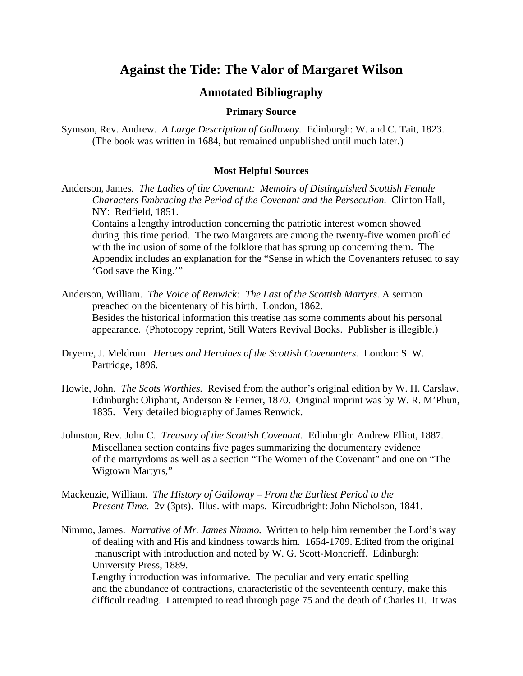# **Against the Tide: The Valor of Margaret Wilson**

# **Annotated Bibliography**

#### **Primary Source**

Symson, Rev. Andrew. *A Large Description of Galloway.* Edinburgh: W. and C. Tait, 1823. (The book was written in 1684, but remained unpublished until much later.)

## **Most Helpful Sources**

Anderson, James. *The Ladies of the Covenant: Memoirs of Distinguished Scottish Female Characters Embracing the Period of the Covenant and the Persecution.* Clinton Hall, NY: Redfield, 1851.

 Contains a lengthy introduction concerning the patriotic interest women showed during this time period. The two Margarets are among the twenty-five women profiled with the inclusion of some of the folklore that has sprung up concerning them. The Appendix includes an explanation for the "Sense in which the Covenanters refused to say 'God save the King.'"

- Anderson, William. *The Voice of Renwick: The Last of the Scottish Martyrs.* A sermon preached on the bicentenary of his birth. London, 1862. Besides the historical information this treatise has some comments about his personal appearance. (Photocopy reprint, Still Waters Revival Books. Publisher is illegible.)
- Dryerre, J. Meldrum. *Heroes and Heroines of the Scottish Covenanters.* London: S. W. Partridge, 1896.
- Howie, John. *The Scots Worthies.* Revised from the author's original edition by W. H. Carslaw. Edinburgh: Oliphant, Anderson & Ferrier, 1870. Original imprint was by W. R. M'Phun, 1835. Very detailed biography of James Renwick.
- Johnston, Rev. John C. *Treasury of the Scottish Covenant.* Edinburgh: Andrew Elliot, 1887. Miscellanea section contains five pages summarizing the documentary evidence of the martyrdoms as well as a section "The Women of the Covenant" and one on "The Wigtown Martyrs,"
- Mackenzie, William. *The History of Galloway From the Earliest Period to the Present Time*. 2v (3pts). Illus. with maps. Kircudbright: John Nicholson, 1841.
- Nimmo, James. *Narrative of Mr. James Nimmo.* Written to help him remember the Lord's way of dealing with and His and kindness towards him. 1654-1709. Edited from the original manuscript with introduction and noted by W. G. Scott-Moncrieff. Edinburgh: University Press, 1889.

 Lengthy introduction was informative. The peculiar and very erratic spelling and the abundance of contractions, characteristic of the seventeenth century, make this difficult reading. I attempted to read through page 75 and the death of Charles II. It was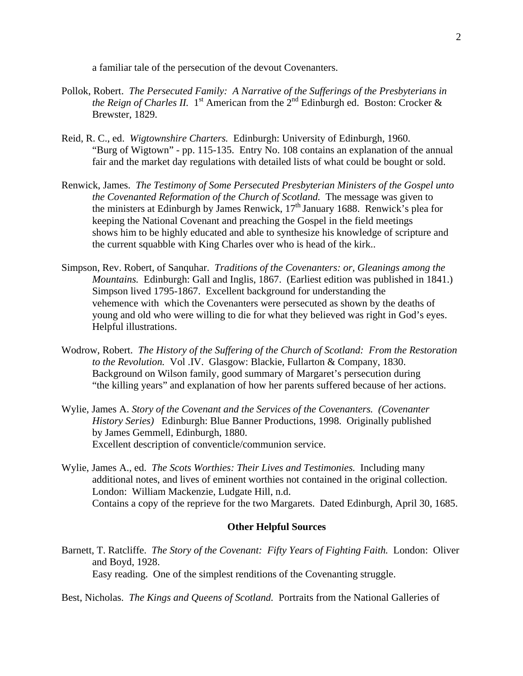a familiar tale of the persecution of the devout Covenanters.

- Pollok, Robert. *The Persecuted Family: A Narrative of the Sufferings of the Presbyterians in the Reign of Charles II.* 1<sup>st</sup> American from the  $2^{nd}$  Edinburgh ed. Boston: Crocker & Brewster, 1829.
- Reid, R. C., ed. *Wigtownshire Charters.* Edinburgh: University of Edinburgh, 1960. "Burg of Wigtown" - pp. 115-135. Entry No. 108 contains an explanation of the annual fair and the market day regulations with detailed lists of what could be bought or sold.
- Renwick, James. *The Testimony of Some Persecuted Presbyterian Ministers of the Gospel unto the Covenanted Reformation of the Church of Scotland.* The message was given to the ministers at Edinburgh by James Renwick, 17<sup>th</sup> January 1688. Renwick's plea for keeping the National Covenant and preaching the Gospel in the field meetings shows him to be highly educated and able to synthesize his knowledge of scripture and the current squabble with King Charles over who is head of the kirk..
- Simpson, Rev. Robert, of Sanquhar. *Traditions of the Covenanters: or, Gleanings among the Mountains.* Edinburgh: Gall and Inglis, 1867. (Earliest edition was published in 1841.) Simpson lived 1795-1867. Excellent background for understanding the vehemence with which the Covenanters were persecuted as shown by the deaths of young and old who were willing to die for what they believed was right in God's eyes. Helpful illustrations.
- Wodrow, Robert. *The History of the Suffering of the Church of Scotland: From the Restoration to the Revolution.* Vol .IV. Glasgow: Blackie, Fullarton & Company, 1830. Background on Wilson family, good summary of Margaret's persecution during "the killing years" and explanation of how her parents suffered because of her actions.
- Wylie, James A. *Story of the Covenant and the Services of the Covenanters. (Covenanter History Series)* Edinburgh: Blue Banner Productions, 1998. Originally published by James Gemmell, Edinburgh, 1880. Excellent description of conventicle/communion service.
- Wylie, James A., ed. *The Scots Worthies: Their Lives and Testimonies.* Including many additional notes, and lives of eminent worthies not contained in the original collection. London: William Mackenzie, Ludgate Hill, n.d. Contains a copy of the reprieve for the two Margarets. Dated Edinburgh, April 30, 1685.

## **Other Helpful Sources**

Barnett, T. Ratcliffe. *The Story of the Covenant: Fifty Years of Fighting Faith.* London: Oliver and Boyd, 1928. Easy reading. One of the simplest renditions of the Covenanting struggle.

Best, Nicholas. *The Kings and Queens of Scotland.* Portraits from the National Galleries of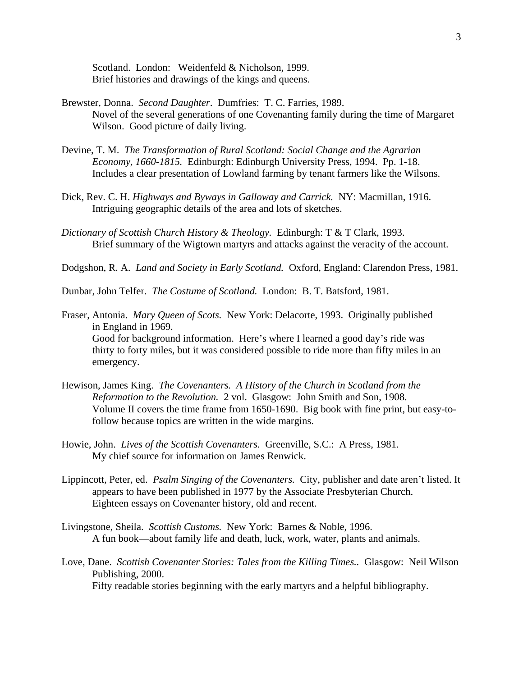Scotland. London: Weidenfeld & Nicholson, 1999. Brief histories and drawings of the kings and queens.

- Brewster, Donna. *Second Daughter*. Dumfries: T. C. Farries, 1989. Novel of the several generations of one Covenanting family during the time of Margaret Wilson. Good picture of daily living.
- Devine, T. M. *The Transformation of Rural Scotland: Social Change and the Agrarian Economy, 1660-1815.* Edinburgh: Edinburgh University Press, 1994. Pp. 1-18. Includes a clear presentation of Lowland farming by tenant farmers like the Wilsons.
- Dick, Rev. C. H. *Highways and Byways in Galloway and Carrick.* NY: Macmillan, 1916. Intriguing geographic details of the area and lots of sketches.
- *Dictionary of Scottish Church History & Theology.* Edinburgh: T & T Clark, 1993. Brief summary of the Wigtown martyrs and attacks against the veracity of the account.

Dodgshon, R. A. *Land and Society in Early Scotland.* Oxford, England: Clarendon Press, 1981.

Dunbar, John Telfer. *The Costume of Scotland.* London: B. T. Batsford, 1981.

- Fraser, Antonia. *Mary Queen of Scots.* New York: Delacorte, 1993. Originally published in England in 1969. Good for background information. Here's where I learned a good day's ride was thirty to forty miles, but it was considered possible to ride more than fifty miles in an emergency.
- Hewison, James King. *The Covenanters. A History of the Church in Scotland from the Reformation to the Revolution.* 2 vol. Glasgow: John Smith and Son, 1908. Volume II covers the time frame from 1650-1690. Big book with fine print, but easy-tofollow because topics are written in the wide margins.
- Howie, John. *Lives of the Scottish Covenanters.* Greenville, S.C.: A Press, 1981. My chief source for information on James Renwick.
- Lippincott, Peter, ed. *Psalm Singing of the Covenanters.* City, publisher and date aren't listed. It appears to have been published in 1977 by the Associate Presbyterian Church. Eighteen essays on Covenanter history, old and recent.
- Livingstone, Sheila. *Scottish Customs.* New York: Barnes & Noble, 1996. A fun book—about family life and death, luck, work, water, plants and animals.
- Love, Dane. *Scottish Covenanter Stories: Tales from the Killing Times..* Glasgow: Neil Wilson Publishing, 2000. Fifty readable stories beginning with the early martyrs and a helpful bibliography.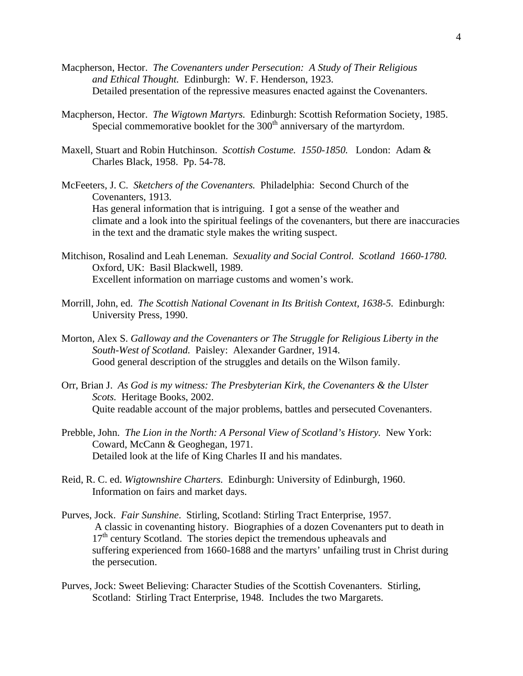- Macpherson, Hector. *The Covenanters under Persecution: A Study of Their Religious and Ethical Thought.* Edinburgh: W. F. Henderson, 1923. Detailed presentation of the repressive measures enacted against the Covenanters.
- Macpherson, Hector. *The Wigtown Martyrs.* Edinburgh: Scottish Reformation Society, 1985. Special commemorative booklet for the  $300<sup>th</sup>$  anniversary of the martyrdom.
- Maxell, Stuart and Robin Hutchinson. *Scottish Costume. 1550-1850.* London: Adam & Charles Black, 1958. Pp. 54-78.
- McFeeters, J. C. *Sketchers of the Covenanters.* Philadelphia: Second Church of the Covenanters, 1913. Has general information that is intriguing. I got a sense of the weather and climate and a look into the spiritual feelings of the covenanters, but there are inaccuracies in the text and the dramatic style makes the writing suspect.
- Mitchison, Rosalind and Leah Leneman. *Sexuality and Social Control. Scotland 1660-1780.*  Oxford, UK: Basil Blackwell, 1989. Excellent information on marriage customs and women's work.
- Morrill, John, ed. *The Scottish National Covenant in Its British Context, 1638-5.* Edinburgh: University Press, 1990.
- Morton, Alex S. *Galloway and the Covenanters or The Struggle for Religious Liberty in the South-West of Scotland.* Paisley: Alexander Gardner, 1914. Good general description of the struggles and details on the Wilson family.
- Orr, Brian J. *As God is my witness: The Presbyterian Kirk, the Covenanters & the Ulster Scots.* Heritage Books, 2002. Quite readable account of the major problems, battles and persecuted Covenanters.
- Prebble, John. *The Lion in the North: A Personal View of Scotland's History.* New York: Coward, McCann & Geoghegan, 1971. Detailed look at the life of King Charles II and his mandates.
- Reid, R. C. ed. *Wigtownshire Charters.* Edinburgh: University of Edinburgh, 1960. Information on fairs and market days.
- Purves, Jock. *Fair Sunshine*. Stirling, Scotland: Stirling Tract Enterprise, 1957. A classic in covenanting history. Biographies of a dozen Covenanters put to death in  $17<sup>th</sup>$  century Scotland. The stories depict the tremendous upheavals and suffering experienced from 1660-1688 and the martyrs' unfailing trust in Christ during the persecution.
- Purves, Jock: Sweet Believing: Character Studies of the Scottish Covenanters. Stirling, Scotland: Stirling Tract Enterprise, 1948. Includes the two Margarets.